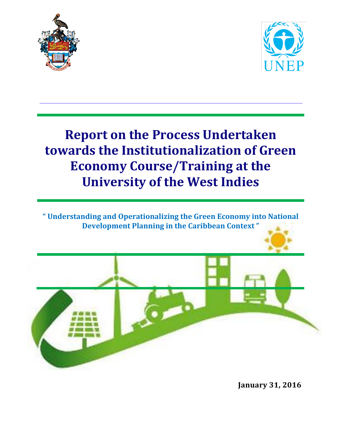



## **Report on the Process Undertaken towards the Institutionalization of Green Economy Course/Training at the University of the West Indies**

**" Understanding and Operationalizing the Green Economy into National Development Planning in the Caribbean Context "**



**January 31, 2016**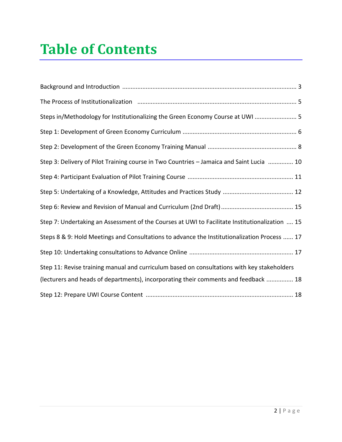# **Table of Contents**

| Steps in/Methodology for Institutionalizing the Green Economy Course at UWI  5                 |
|------------------------------------------------------------------------------------------------|
|                                                                                                |
|                                                                                                |
| Step 3: Delivery of Pilot Training course in Two Countries - Jamaica and Saint Lucia  10       |
|                                                                                                |
|                                                                                                |
|                                                                                                |
| Step 7: Undertaking an Assessment of the Courses at UWI to Facilitate Institutionalization  15 |
| Steps 8 & 9: Hold Meetings and Consultations to advance the Institutionalization Process  17   |
|                                                                                                |
| Step 11: Revise training manual and curriculum based on consultations with key stakeholders    |
| (lecturers and heads of departments), incorporating their comments and feedback  18            |
|                                                                                                |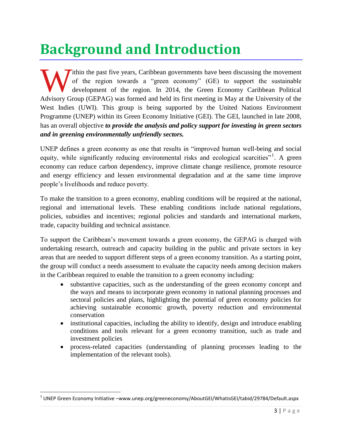## **Background and Introduction**

If ithin the past five years, Caribbean governments have been discussing the movement of the region towards a "green economy" (GE) to support the sustainable development of the region. In 2014, the Green Economy Caribbean Political Tithin the past five years, Caribbean governments have been discussing the movement<br>of the region towards a "green economy" (GE) to support the sustainable<br>development of the region. In 2014, the Green Economy Caribbean Po West Indies (UWI). This group is being supported by the United Nations Environment Programme (UNEP) within its Green Economy Initiative (GEI). The GEI, launched in late 2008, has an overall objective *to provide the analysis and policy support for investing in green sectors and in greening environmentally unfriendly sectors.*

UNEP defines a green economy as one that results in "improved human well-being and social equity, while significantly reducing environmental risks and ecological scarcities"<sup>1</sup>. A green economy can reduce carbon dependency, improve climate change resilience, promote resource and energy efficiency and lessen environmental degradation and at the same time improve people's livelihoods and reduce poverty.

To make the transition to a green economy, enabling conditions will be required at the national, regional and international levels. These enabling conditions include national regulations, policies, subsidies and incentives; regional policies and standards and international markets, trade, capacity building and technical assistance.

To support the Caribbean's movement towards a green economy, the GEPAG is charged with undertaking research, outreach and capacity building in the public and private sectors in key areas that are needed to support different steps of a green economy transition. As a starting point, the group will conduct a needs assessment to evaluate the capacity needs among decision makers in the Caribbean required to enable the transition to a green economy including:

- substantive capacities, such as the understanding of the green economy concept and the ways and means to incorporate green economy in national planning processes and sectoral policies and plans, highlighting the potential of green economy policies for achieving sustainable economic growth, poverty reduction and environmental conservation
- institutional capacities, including the ability to identify, design and introduce enabling conditions and tools relevant for a green economy transition, such as trade and investment policies
- process-related capacities (understanding of planning processes leading to the implementation of the relevant tools).

 $\overline{\phantom{a}}$ 

 $^{\text{1}}$  UNEP Green Economy Initiative –www.unep.org/greeneconomy/AboutGEI/WhatisGEI/tabid/29784/Default.aspx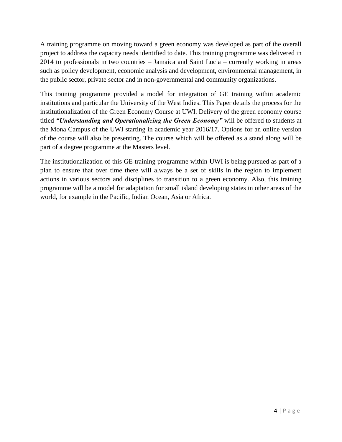A training programme on moving toward a green economy was developed as part of the overall project to address the capacity needs identified to date. This training programme was delivered in 2014 to professionals in two countries – Jamaica and Saint Lucia – currently working in areas such as policy development, economic analysis and development, environmental management, in the public sector, private sector and in non-governmental and community organizations.

This training programme provided a model for integration of GE training within academic institutions and particular the University of the West Indies. This Paper details the process for the institutionalization of the Green Economy Course at UWI. Delivery of the green economy course titled *"Understanding and Operationalizing the Green Economy"* will be offered to students at the Mona Campus of the UWI starting in academic year 2016/17. Options for an online version of the course will also be presenting. The course which will be offered as a stand along will be part of a degree programme at the Masters level.

The institutionalization of this GE training programme within UWI is being pursued as part of a plan to ensure that over time there will always be a set of skills in the region to implement actions in various sectors and disciplines to transition to a green economy. Also, this training programme will be a model for adaptation for small island developing states in other areas of the world, for example in the Pacific, Indian Ocean, Asia or Africa.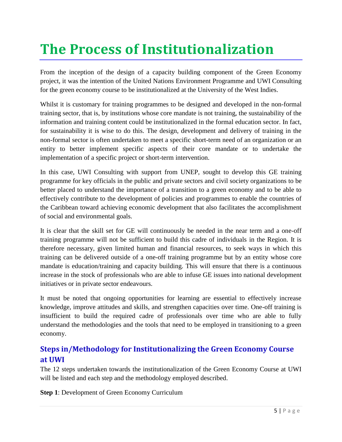# **The Process of Institutionalization**

From the inception of the design of a capacity building component of the Green Economy project, it was the intention of the United Nations Environment Programme and UWI Consulting for the green economy course to be institutionalized at the University of the West Indies.

Whilst it is customary for training programmes to be designed and developed in the non-formal training sector, that is, by institutions whose core mandate is not training, the sustainability of the information and training content could be institutionalized in the formal education sector. In fact, for sustainability it is wise to do this. The design, development and delivery of training in the non-formal sector is often undertaken to meet a specific short-term need of an organization or an entity to better implement specific aspects of their core mandate or to undertake the implementation of a specific project or short-term intervention.

In this case, UWI Consulting with support from UNEP, sought to develop this GE training programme for key officials in the public and private sectors and civil society organizations to be better placed to understand the importance of a transition to a green economy and to be able to effectively contribute to the development of policies and programmes to enable the countries of the Caribbean toward achieving economic development that also facilitates the accomplishment of social and environmental goals.

It is clear that the skill set for GE will continuously be needed in the near term and a one-off training programme will not be sufficient to build this cadre of individuals in the Region. It is therefore necessary, given limited human and financial resources, to seek ways in which this training can be delivered outside of a one-off training programme but by an entity whose core mandate is education/training and capacity building. This will ensure that there is a continuous increase in the stock of professionals who are able to infuse GE issues into national development initiatives or in private sector endeavours.

It must be noted that ongoing opportunities for learning are essential to effectively increase knowledge, improve attitudes and skills, and strengthen capacities over time. One-off training is insufficient to build the required cadre of professionals over time who are able to fully understand the methodologies and the tools that need to be employed in transitioning to a green economy.

## **Steps in/Methodology for Institutionalizing the Green Economy Course at UWI**

The 12 steps undertaken towards the institutionalization of the Green Economy Course at UWI will be listed and each step and the methodology employed described.

**Step 1**: Development of Green Economy Curriculum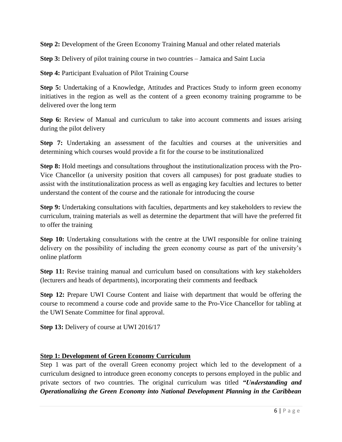**Step 2:** Development of the Green Economy Training Manual and other related materials

**Step 3:** Delivery of pilot training course in two countries – Jamaica and Saint Lucia

**Step 4:** Participant Evaluation of Pilot Training Course

**Step 5:** Undertaking of a Knowledge, Attitudes and Practices Study to inform green economy initiatives in the region as well as the content of a green economy training programme to be delivered over the long term

**Step 6:** Review of Manual and curriculum to take into account comments and issues arising during the pilot delivery

**Step 7:** Undertaking an assessment of the faculties and courses at the universities and determining which courses would provide a fit for the course to be institutionalized

**Step 8:** Hold meetings and consultations throughout the institutionalization process with the Pro-Vice Chancellor (a university position that covers all campuses) for post graduate studies to assist with the institutionalization process as well as engaging key faculties and lectures to better understand the content of the course and the rationale for introducing the course

**Step 9:** Undertaking consultations with faculties, departments and key stakeholders to review the curriculum, training materials as well as determine the department that will have the preferred fit to offer the training

**Step 10:** Undertaking consultations with the centre at the UWI responsible for online training delivery on the possibility of including the green economy course as part of the university's online platform

**Step 11:** Revise training manual and curriculum based on consultations with key stakeholders (lecturers and heads of departments), incorporating their comments and feedback

**Step 12:** Prepare UWI Course Content and liaise with department that would be offering the course to recommend a course code and provide same to the Pro-Vice Chancellor for tabling at the UWI Senate Committee for final approval.

**Step 13:** Delivery of course at UWI 2016/17

#### **Step 1: Development of Green Economy Curriculum**

Step 1 was part of the overall Green economy project which led to the development of a curriculum designed to introduce green economy concepts to persons employed in the public and private sectors of two countries. The original curriculum was titled *"Understanding and Operationalizing the Green Economy into National Development Planning in the Caribbean*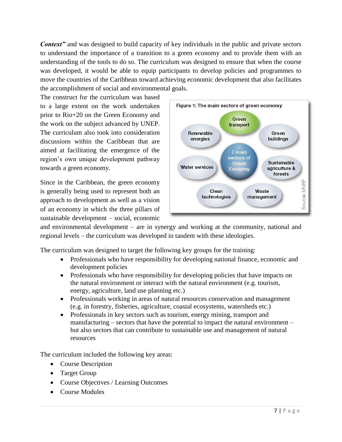**Context**" and was designed to build capacity of key individuals in the public and private sectors to understand the importance of a transition to a green economy and to provide them with an understanding of the tools to do so. The curriculum was designed to ensure that when the course was developed, it would be able to equip participants to develop policies and programmes to move the countries of the Caribbean toward achieving economic development that also facilitates the accomplishment of social and environmental goals.

The construct for the curriculum was based to a large extent on the work undertaken prior to Rio+20 on the Green Economy and the work on the subject advanced by UNEP. The curriculum also took into consideration discussions within the Caribbean that are aimed at facilitating the emergence of the region's own unique development pathway towards a green economy.

Since in the Caribbean, the green economy is generally being used to represent both an approach to development as well as a vision of an economy in which the three pillars of sustainable development – social, economic



and environmental development – are in synergy and working at the community, national and regional levels – the curriculum was developed in tandem with these ideologies.

The curriculum was designed to target the following key groups for the training:

- Professionals who have responsibility for developing national finance, economic and development policies
- Professionals who have responsibility for developing policies that have impacts on the natural environment or interact with the natural environment (e.g. tourism, energy, agriculture, land use planning etc.)
- Professionals working in areas of natural resources conservation and management (e.g. in forestry, fisheries, agriculture, coastal ecosystems, watersheds etc.)
- Professionals in key sectors such as tourism, energy mining, transport and manufacturing – sectors that have the potential to impact the natural environment – but also sectors that can contribute to sustainable use and management of natural resources

The curriculum included the following key areas:

- Course Description
- Target Group
- Course Objectives / Learning Outcomes
- Course Modules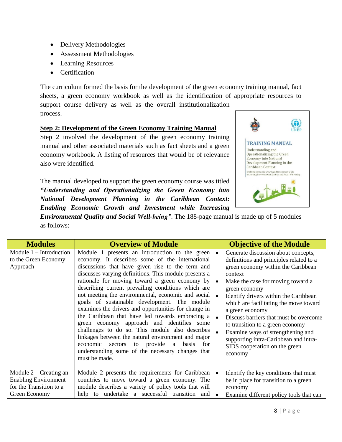- Delivery Methodologies
- Assessment Methodologies
- Learning Resources
- Certification

The curriculum formed the basis for the development of the green economy training manual, fact sheets, a green economy workbook as well as the identification of appropriate resources to support course delivery as well as the overall institutionalization process.

#### **Step 2: Development of the Green Economy Training Manual**

Step 2 involved the development of the green economy training manual and other associated materials such as fact sheets and a green economy workbook. A listing of resources that would be of relevance also were identified.

The manual developed to support the green economy course was titled *"Understanding and Operationalizing the Green Economy into National Development Planning in the Caribbean Context: Enabling Economic Growth and Investment while Increasing* 



*Environmental Quality and Social Well-being"*. The 188-page manual is made up of 5 modules as follows:

| <b>Modules</b>                                                                                      | <b>Overview of Module</b>                                                                                                                                                                                                                                                                                                                                                                                                                                                                                                                                                                                                                                                                                                                                                                                               |                        | <b>Objective of the Module</b>                                                                                                                                                                                                                                                                                                                                                                                                                                                                      |
|-----------------------------------------------------------------------------------------------------|-------------------------------------------------------------------------------------------------------------------------------------------------------------------------------------------------------------------------------------------------------------------------------------------------------------------------------------------------------------------------------------------------------------------------------------------------------------------------------------------------------------------------------------------------------------------------------------------------------------------------------------------------------------------------------------------------------------------------------------------------------------------------------------------------------------------------|------------------------|-----------------------------------------------------------------------------------------------------------------------------------------------------------------------------------------------------------------------------------------------------------------------------------------------------------------------------------------------------------------------------------------------------------------------------------------------------------------------------------------------------|
| Module $1$ – Introduction<br>to the Green Economy<br>Approach                                       | Module 1 presents an introduction to the green<br>economy. It describes some of the international<br>discussions that have given rise to the term and<br>discusses varying definitions. This module presents a<br>rationale for moving toward a green economy by<br>describing current prevailing conditions which are<br>not meeting the environmental, economic and social<br>goals of sustainable development. The module<br>examines the drivers and opportunities for change in<br>the Caribbean that have led towards embracing a<br>green economy approach and identifies some<br>challenges to do so. This module also describes<br>linkages between the natural environment and major<br>to provide<br>economic sectors<br>a basis<br>for<br>understanding some of the necessary changes that<br>must be made. | $\bullet$<br>$\bullet$ | Generate discussion about concepts,<br>definitions and principles related to a<br>green economy within the Caribbean<br>context<br>Make the case for moving toward a<br>green economy<br>Identify drivers within the Caribbean<br>which are facilitating the move toward<br>a green economy<br>Discuss barriers that must be overcome<br>to transition to a green economy<br>Examine ways of strengthening and<br>supporting intra-Caribbean and intra-<br>SIDS cooperation on the green<br>economy |
| Module $2$ – Creating an<br><b>Enabling Environment</b><br>for the Transition to a<br>Green Economy | Module 2 presents the requirements for Caribbean<br>countries to move toward a green economy. The<br>module describes a variety of policy tools that will<br>help to undertake a successful transition and                                                                                                                                                                                                                                                                                                                                                                                                                                                                                                                                                                                                              | $\bullet$              | Identify the key conditions that must<br>be in place for transition to a green<br>economy<br>Examine different policy tools that can                                                                                                                                                                                                                                                                                                                                                                |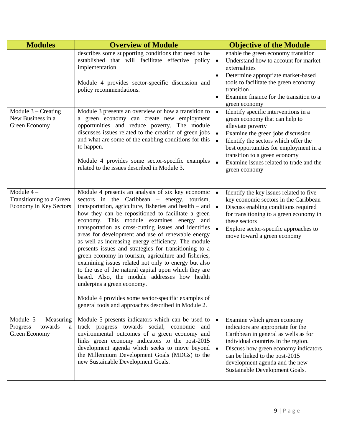| <b>Modules</b>                                                      | <b>Overview of Module</b>                                                                                                                                                                                                                                                                                                                                                                                                                                                                                                                                                                                                                                                                                                                                                                                                                                         | <b>Objective of the Module</b>                                                                                                                                                                                                                                                                                                                         |
|---------------------------------------------------------------------|-------------------------------------------------------------------------------------------------------------------------------------------------------------------------------------------------------------------------------------------------------------------------------------------------------------------------------------------------------------------------------------------------------------------------------------------------------------------------------------------------------------------------------------------------------------------------------------------------------------------------------------------------------------------------------------------------------------------------------------------------------------------------------------------------------------------------------------------------------------------|--------------------------------------------------------------------------------------------------------------------------------------------------------------------------------------------------------------------------------------------------------------------------------------------------------------------------------------------------------|
|                                                                     | describes some supporting conditions that need to be<br>established that will facilitate effective policy<br>implementation.<br>Module 4 provides sector-specific discussion and<br>policy recommendations.                                                                                                                                                                                                                                                                                                                                                                                                                                                                                                                                                                                                                                                       | enable the green economy transition<br>Understand how to account for market<br>$\bullet$<br>externalities<br>Determine appropriate market-based<br>tools to facilitate the green economy<br>transition<br>Examine finance for the transition to a<br>green economy                                                                                     |
| Module $3$ – Creating<br>New Business in a<br>Green Economy         | Module 3 presents an overview of how a transition to<br>a green economy can create new employment<br>opportunities and reduce poverty. The module<br>discusses issues related to the creation of green jobs<br>and what are some of the enabling conditions for this<br>to happen.<br>Module 4 provides some sector-specific examples<br>related to the issues described in Module 3.                                                                                                                                                                                                                                                                                                                                                                                                                                                                             | Identify specific interventions in a<br>$\bullet$<br>green economy that can help to<br>alleviate poverty<br>Examine the green jobs discussion<br>Identify the sectors which offer the<br>$\bullet$<br>best opportunities for employment in a<br>transition to a green economy<br>Examine issues related to trade and the<br>$\bullet$<br>green economy |
| Module $4-$<br>Transitioning to a Green<br>Economy in Key Sectors   | Module 4 presents an analysis of six key economic<br>sectors in the Caribbean – energy, tourism,<br>transportation, agriculture, fisheries and health $-$ and<br>how they can be repositioned to facilitate a green<br>economy. This module examines energy and<br>transportation as cross-cutting issues and identifies<br>areas for development and use of renewable energy<br>as well as increasing energy efficiency. The module<br>presents issues and strategies for transitioning to a<br>green economy in tourism, agriculture and fisheries,<br>examining issues related not only to energy but also<br>to the use of the natural capital upon which they are<br>based. Also, the module addresses how health<br>underpins a green economy.<br>Module 4 provides some sector-specific examples of<br>general tools and approaches described in Module 2. | Identify the key issues related to five<br>$\bullet$<br>key economic sectors in the Caribbean<br>Discuss enabling conditions required<br>for transitioning to a green economy in<br>these sectors<br>Explore sector-specific approaches to<br>move toward a green economy                                                                              |
| Module $5 - Measuring$<br>towards<br>Progress<br>a<br>Green Economy | Module 5 presents indicators which can be used to<br>track progress towards social, economic and<br>environmental outcomes of a green economy and<br>links green economy indicators to the post-2015<br>development agenda which seeks to move beyond<br>the Millennium Development Goals (MDGs) to the<br>new Sustainable Development Goals.                                                                                                                                                                                                                                                                                                                                                                                                                                                                                                                     | Examine which green economy<br>indicators are appropriate for the<br>Caribbean in general as wells as for<br>individual countries in the region.<br>Discuss how green economy indicators<br>can be linked to the post-2015<br>development agenda and the new<br>Sustainable Development Goals.                                                         |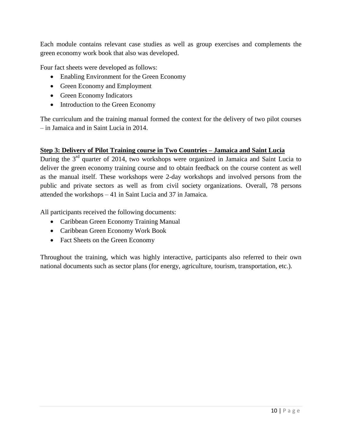Each module contains relevant case studies as well as group exercises and complements the green economy work book that also was developed.

Four fact sheets were developed as follows:

- Enabling Environment for the Green Economy
- Green Economy and Employment
- Green Economy Indicators
- Introduction to the Green Economy

The curriculum and the training manual formed the context for the delivery of two pilot courses – in Jamaica and in Saint Lucia in 2014.

### **Step 3: Delivery of Pilot Training course in Two Countries – Jamaica and Saint Lucia**

During the 3<sup>rd</sup> quarter of 2014, two workshops were organized in Jamaica and Saint Lucia to deliver the green economy training course and to obtain feedback on the course content as well as the manual itself. These workshops were 2-day workshops and involved persons from the public and private sectors as well as from civil society organizations. Overall, 78 persons attended the workshops – 41 in Saint Lucia and 37 in Jamaica.

All participants received the following documents:

- Caribbean Green Economy Training Manual
- Caribbean Green Economy Work Book
- Fact Sheets on the Green Economy

Throughout the training, which was highly interactive, participants also referred to their own national documents such as sector plans (for energy, agriculture, tourism, transportation, etc.).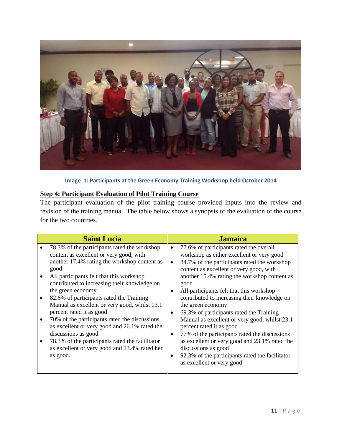

**Image 1: Participants at the Green Economy Training Workshop held October 2014**

### **Step 4: Participant Evaluation of Pilot Training Course**

The participant evaluation of the pilot training course provided inputs into the review and revision of the training manual. The table below shows a synopsis of the evaluation of the course for the two countries.

| 78.3% of the participants rated the workshop<br>77.6% of participants rated the overall<br>content as excellent or very good, with<br>workshop as either excellent or very good<br>another 17.4% rating the workshop content as<br>84.7% of the participants rated the workshop<br>good<br>content as excellent or very good, with<br>All participants felt that this workshop<br>another 15.4% rating the workshop content as<br>contributed to increasing their knowledge on<br>good<br>the green economy<br>All participants felt that this workshop<br>82.6% of participants rated the Training<br>contributed to increasing their knowledge on<br>$\bullet$<br>Manual as excellent or very good, whilst 13.1<br>the green economy<br>percent rated it as good<br>69.3% of participants rated the Training<br>Manual as excellent or very good, whilst 23.1<br>70% of the participants rated the discussions<br>$\bullet$<br>as excellent or very good and 26.1% rated the<br>percent rated it as good<br>discussions as good<br>77% of the participants rated the discussions<br>٠<br>78.3% of the participants rated the facilitator<br>as excellent or very good and 23.1% rated the<br>$\bullet$<br>as excellent or very good and 13.4% rated her<br>discussions as good<br>as good.<br>92.3% of the participants rated the facilitator<br>as excellent or very good | <b>Saint Lucia</b> | <b>Jamaica</b> |
|------------------------------------------------------------------------------------------------------------------------------------------------------------------------------------------------------------------------------------------------------------------------------------------------------------------------------------------------------------------------------------------------------------------------------------------------------------------------------------------------------------------------------------------------------------------------------------------------------------------------------------------------------------------------------------------------------------------------------------------------------------------------------------------------------------------------------------------------------------------------------------------------------------------------------------------------------------------------------------------------------------------------------------------------------------------------------------------------------------------------------------------------------------------------------------------------------------------------------------------------------------------------------------------------------------------------------------------------------------------------------|--------------------|----------------|
|                                                                                                                                                                                                                                                                                                                                                                                                                                                                                                                                                                                                                                                                                                                                                                                                                                                                                                                                                                                                                                                                                                                                                                                                                                                                                                                                                                              |                    |                |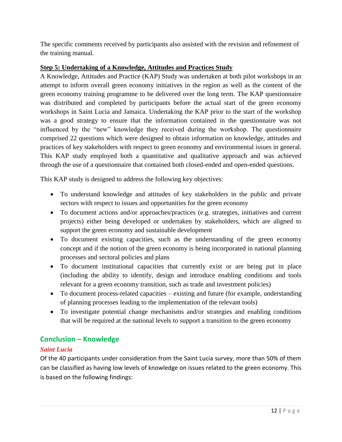The specific comments received by participants also assisted with the revision and refinement of the training manual.

## **Step 5: Undertaking of a Knowledge, Attitudes and Practices Study**

A Knowledge, Attitudes and Practice (KAP) Study was undertaken at both pilot workshops in an attempt to inform overall green economy initiatives in the region as well as the content of the green economy training programme to be delivered over the long term. The KAP questionnaire was distributed and completed by participants before the actual start of the green economy workshops in Saint Lucia and Jamaica. Undertaking the KAP prior to the start of the workshop was a good strategy to ensure that the information contained in the questionnaire was not influenced by the "new" knowledge they received during the workshop. The questionnaire comprised 22 questions which were designed to obtain information on knowledge, attitudes and practices of key stakeholders with respect to green economy and environmental issues in general. This KAP study employed both a quantitative and qualitative approach and was achieved through the use of a questionnaire that contained both closed-ended and open-ended questions.

This KAP study is designed to address the following key objectives:

- To understand knowledge and attitudes of key stakeholders in the public and private sectors with respect to issues and opportunities for the green economy
- To document actions and/or approaches/practices (e.g. strategies, initiatives and current projects) either being developed or undertaken by stakeholders, which are aligned to support the green economy and sustainable development
- To document existing capacities, such as the understanding of the green economy concept and if the notion of the green economy is being incorporated in national planning processes and sectoral policies and plans
- To document institutional capacities that currently exist or are being put in place (including the ability to identify, design and introduce enabling conditions and tools relevant for a green economy transition, such as trade and investment policies)
- To document process-related capacities existing and future (for example, understanding of planning processes leading to the implementation of the relevant tools)
- To investigate potential change mechanisms and/or strategies and enabling conditions that will be required at the national levels to support a transition to the green economy

## **Conclusion – Knowledge**

## *Saint Lucia*

Of the 40 participants under consideration from the Saint Lucia survey, more than 50% of them can be classified as having low levels of knowledge on issues related to the green economy. This is based on the following findings: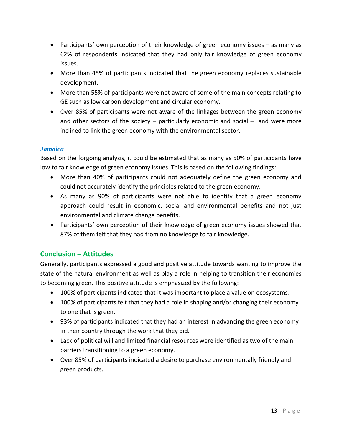- Participants' own perception of their knowledge of green economy issues as many as 62% of respondents indicated that they had only fair knowledge of green economy issues.
- More than 45% of participants indicated that the green economy replaces sustainable development.
- More than 55% of participants were not aware of some of the main concepts relating to GE such as low carbon development and circular economy.
- Over 85% of participants were not aware of the linkages between the green economy and other sectors of the society  $-$  particularly economic and social  $-$  and were more inclined to link the green economy with the environmental sector.

## *Jamaica*

Based on the forgoing analysis, it could be estimated that as many as 50% of participants have low to fair knowledge of green economy issues. This is based on the following findings:

- More than 40% of participants could not adequately define the green economy and could not accurately identify the principles related to the green economy.
- As many as 90% of participants were not able to identify that a green economy approach could result in economic, social and environmental benefits and not just environmental and climate change benefits.
- Participants' own perception of their knowledge of green economy issues showed that 87% of them felt that they had from no knowledge to fair knowledge.

## **Conclusion – Attitudes**

Generally, participants expressed a good and positive attitude towards wanting to improve the state of the natural environment as well as play a role in helping to transition their economies to becoming green. This positive attitude is emphasized by the following:

- 100% of participants indicated that it was important to place a value on ecosystems.
- 100% of participants felt that they had a role in shaping and/or changing their economy to one that is green.
- 93% of participants indicated that they had an interest in advancing the green economy in their country through the work that they did.
- Lack of political will and limited financial resources were identified as two of the main barriers transitioning to a green economy.
- Over 85% of participants indicated a desire to purchase environmentally friendly and green products.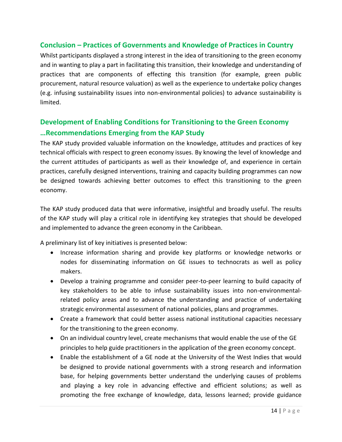## **Conclusion – Practices of Governments and Knowledge of Practices in Country**

Whilst participants displayed a strong interest in the idea of transitioning to the green economy and in wanting to play a part in facilitating this transition, their knowledge and understanding of practices that are components of effecting this transition (for example, green public procurement, natural resource valuation) as well as the experience to undertake policy changes (e.g. infusing sustainability issues into non-environmental policies) to advance sustainability is limited.

## **Development of Enabling Conditions for Transitioning to the Green Economy …Recommendations Emerging from the KAP Study**

The KAP study provided valuable information on the knowledge, attitudes and practices of key technical officials with respect to green economy issues. By knowing the level of knowledge and the current attitudes of participants as well as their knowledge of, and experience in certain practices, carefully designed interventions, training and capacity building programmes can now be designed towards achieving better outcomes to effect this transitioning to the green economy.

The KAP study produced data that were informative, insightful and broadly useful. The results of the KAP study will play a critical role in identifying key strategies that should be developed and implemented to advance the green economy in the Caribbean.

A preliminary list of key initiatives is presented below:

- Increase information sharing and provide key platforms or knowledge networks or nodes for disseminating information on GE issues to technocrats as well as policy makers.
- Develop a training programme and consider peer-to-peer learning to build capacity of key stakeholders to be able to infuse sustainability issues into non-environmentalrelated policy areas and to advance the understanding and practice of undertaking strategic environmental assessment of national policies, plans and programmes.
- Create a framework that could better assess national institutional capacities necessary for the transitioning to the green economy.
- On an individual country level, create mechanisms that would enable the use of the GE principles to help guide practitioners in the application of the green economy concept.
- Enable the establishment of a GE node at the University of the West Indies that would be designed to provide national governments with a strong research and information base, for helping governments better understand the underlying causes of problems and playing a key role in advancing effective and efficient solutions; as well as promoting the free exchange of knowledge, data, lessons learned; provide guidance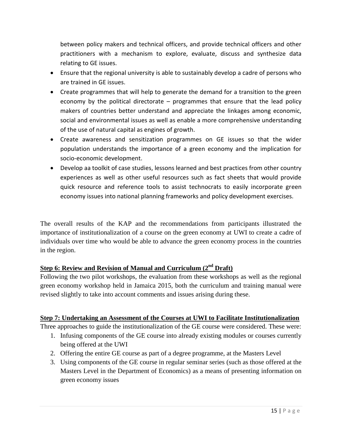between policy makers and technical officers, and provide technical officers and other practitioners with a mechanism to explore, evaluate, discuss and synthesize data relating to GE issues.

- Ensure that the regional university is able to sustainably develop a cadre of persons who are trained in GE issues.
- Create programmes that will help to generate the demand for a transition to the green economy by the political directorate – programmes that ensure that the lead policy makers of countries better understand and appreciate the linkages among economic, social and environmental issues as well as enable a more comprehensive understanding of the use of natural capital as engines of growth.
- Create awareness and sensitization programmes on GE issues so that the wider population understands the importance of a green economy and the implication for socio-economic development.
- Develop aa toolkit of case studies, lessons learned and best practices from other country experiences as well as other useful resources such as fact sheets that would provide quick resource and reference tools to assist technocrats to easily incorporate green economy issues into national planning frameworks and policy development exercises.

The overall results of the KAP and the recommendations from participants illustrated the importance of institutionalization of a course on the green economy at UWI to create a cadre of individuals over time who would be able to advance the green economy process in the countries in the region.

## **Step 6: Review and Revision of Manual and Curriculum (2nd Draft)**

Following the two pilot workshops, the evaluation from these workshops as well as the regional green economy workshop held in Jamaica 2015, both the curriculum and training manual were revised slightly to take into account comments and issues arising during these.

## **Step 7: Undertaking an Assessment of the Courses at UWI to Facilitate Institutionalization**

Three approaches to guide the institutionalization of the GE course were considered. These were:

- 1. Infusing components of the GE course into already existing modules or courses currently being offered at the UWI
- 2. Offering the entire GE course as part of a degree programme, at the Masters Level
- 3. Using components of the GE course in regular seminar series (such as those offered at the Masters Level in the Department of Economics) as a means of presenting information on green economy issues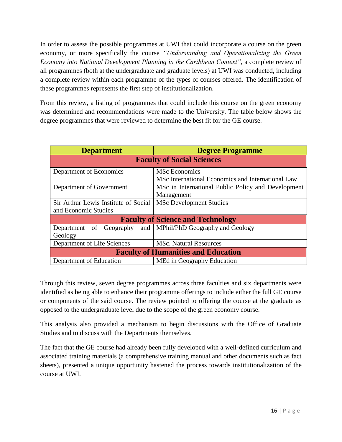In order to assess the possible programmes at UWI that could incorporate a course on the green economy, or more specifically the course *"Understanding and Operationalizing the Green Economy into National Development Planning in the Caribbean Context"*, a complete review of all programmes (both at the undergraduate and graduate levels) at UWI was conducted, including a complete review within each programme of the types of courses offered. The identification of these programmes represents the first step of institutionalization.

From this review, a listing of programmes that could include this course on the green economy was determined and recommendations were made to the University. The table below shows the degree programmes that were reviewed to determine the best fit for the GE course.

| <b>Department</b>                          | <b>Degree Programme</b>                            |  |  |  |  |
|--------------------------------------------|----------------------------------------------------|--|--|--|--|
| <b>Faculty of Social Sciences</b>          |                                                    |  |  |  |  |
| Department of Economics                    | <b>MSc Economics</b>                               |  |  |  |  |
|                                            | MSc International Economics and International Law  |  |  |  |  |
| Department of Government                   | MSc in International Public Policy and Development |  |  |  |  |
|                                            | Management                                         |  |  |  |  |
| Sir Arthur Lewis Institute of Social       | <b>MSc Development Studies</b>                     |  |  |  |  |
| and Economic Studies                       |                                                    |  |  |  |  |
| <b>Faculty of Science and Technology</b>   |                                                    |  |  |  |  |
| and<br>of Geography<br>Department          | MPhil/PhD Geography and Geology                    |  |  |  |  |
| Geology                                    |                                                    |  |  |  |  |
| Department of Life Sciences                | <b>MSc. Natural Resources</b>                      |  |  |  |  |
| <b>Faculty of Humanities and Education</b> |                                                    |  |  |  |  |
| Department of Education                    | MEd in Geography Education                         |  |  |  |  |

Through this review, seven degree programmes across three faculties and six departments were identified as being able to enhance their programme offerings to include either the full GE course or components of the said course. The review pointed to offering the course at the graduate as opposed to the undergraduate level due to the scope of the green economy course.

This analysis also provided a mechanism to begin discussions with the Office of Graduate Studies and to discuss with the Departments themselves.

The fact that the GE course had already been fully developed with a well-defined curriculum and associated training materials (a comprehensive training manual and other documents such as fact sheets), presented a unique opportunity hastened the process towards institutionalization of the course at UWI.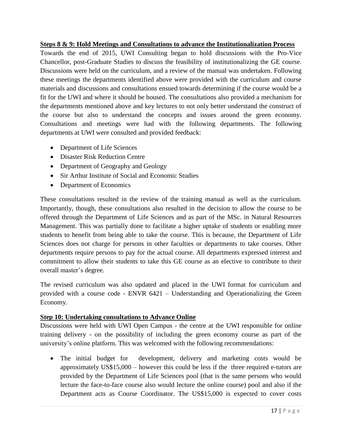### **Steps 8 & 9: Hold Meetings and Consultations to advance the Institutionalization Process**

Towards the end of 2015, UWI Consulting began to hold discussions with the Pro-Vice Chancellor, post-Graduate Studies to discuss the feasibility of institutionalizing the GE course. Discussions were held on the curriculum, and a review of the manual was undertaken. Following these meetings the departments identified above were provided with the curriculum and course materials and discussions and consultations ensued towards determining if the course would be a fit for the UWI and where it should be housed. The consultations also provided a mechanism for the departments mentioned above and key lectures to not only better understand the construct of the course but also to understand the concepts and issues around the green economy. Consultations and meetings were had with the following departments. The following departments at UWI were consulted and provided feedback:

- Department of Life Sciences
- Disaster Risk Reduction Centre
- Department of Geography and Geology
- Sir Arthur Institute of Social and Economic Studies
- Department of Economics

These consultations resulted in the review of the training manual as well as the curriculum. Importantly, though, these consultations also resulted in the decision to allow the course to be offered through the Department of Life Sciences and as part of the MSc. in Natural Resources Management. This was partially done to facilitate a higher uptake of students or enabling more students to benefit from being able to take the course. This is because, the Department of Life Sciences does not charge for persons in other faculties or departments to take courses. Other departments require persons to pay for the actual course. All departments expressed interest and commitment to allow their students to take this GE course as an elective to contribute to their overall master's degree.

The revised curriculum was also updated and placed in the UWI format for curriculum and provided with a course code - ENVR 6421 – Understanding and Operationalizing the Green Economy.

#### **Step 10: Undertaking consultations to Advance Online**

Discussions were held with UWI Open Campus - the centre at the UWI responsible for online training delivery - on the possibility of including the green economy course as part of the university's online platform. This was welcomed with the following recommendations:

 The initial budget for development, delivery and marketing costs would be approximately US\$15,000 – however this could be less if the three required e-tutors are provided by the Department of Life Sciences pool (that is the same persons who would lecture the face-to-face course also would lecture the online course) pool and also if the Department acts as Course Coordinator. The US\$15,000 is expected to cover costs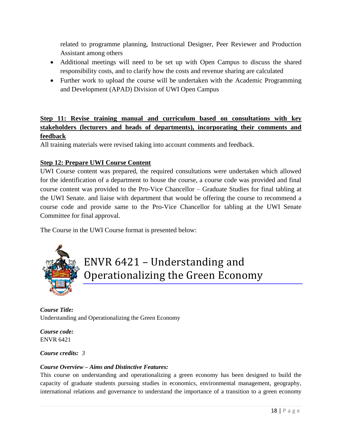related to programme planning, Instructional Designer, Peer Reviewer and Production Assistant among others

- Additional meetings will need to be set up with Open Campus to discuss the shared responsibility costs, and to clarify how the costs and revenue sharing are calculated
- Further work to upload the course will be undertaken with the Academic Programming and Development (APAD) Division of UWI Open Campus

## **Step 11: Revise training manual and curriculum based on consultations with key stakeholders (lecturers and heads of departments), incorporating their comments and feedback**

All training materials were revised taking into account comments and feedback.

## **Step 12: Prepare UWI Course Content**

UWI Course content was prepared, the required consultations were undertaken which allowed for the identification of a department to house the course, a course code was provided and final course content was provided to the Pro-Vice Chancellor – Graduate Studies for final tabling at the UWI Senate. and liaise with department that would be offering the course to recommend a course code and provide same to the Pro-Vice Chancellor for tabling at the UWI Senate Committee for final approval.

The Course in the UWI Course format is presented below:



## ENVR 6421 – Understanding and Operationalizing the Green Economy

*Course Title:* Understanding and Operationalizing the Green Economy

*Course code:* ENVR 6421

#### *Course credits: 3*

#### *Course Overview – Aims and Distinctive Features:*

This course on understanding and operationalizing a green economy has been designed to build the capacity of graduate students pursuing studies in economics, environmental management, geography, international relations and governance to understand the importance of a transition to a green economy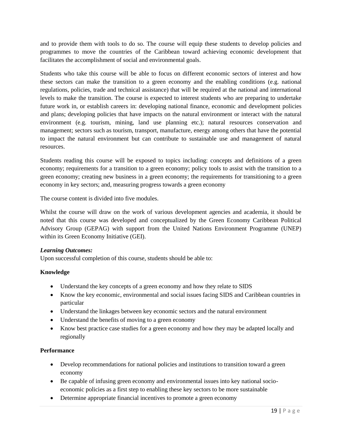and to provide them with tools to do so. The course will equip these students to develop policies and programmes to move the countries of the Caribbean toward achieving economic development that facilitates the accomplishment of social and environmental goals.

Students who take this course will be able to focus on different economic sectors of interest and how these sectors can make the transition to a green economy and the enabling conditions (e.g. national regulations, policies, trade and technical assistance) that will be required at the national and international levels to make the transition. The course is expected to interest students who are preparing to undertake future work in, or establish careers in: developing national finance, economic and development policies and plans; developing policies that have impacts on the natural environment or interact with the natural environment (e.g. tourism, mining, land use planning etc.); natural resources conservation and management; sectors such as tourism, transport, manufacture, energy among others that have the potential to impact the natural environment but can contribute to sustainable use and management of natural resources.

Students reading this course will be exposed to topics including: concepts and definitions of a green economy; requirements for a transition to a green economy; policy tools to assist with the transition to a green economy; creating new business in a green economy; the requirements for transitioning to a green economy in key sectors; and, measuring progress towards a green economy

The course content is divided into five modules.

Whilst the course will draw on the work of various development agencies and academia, it should be noted that this course was developed and conceptualized by the Green Economy Caribbean Political Advisory Group (GEPAG) with support from the United Nations Environment Programme (UNEP) within its Green Economy Initiative (GEI).

#### *Learning Outcomes:*

Upon successful completion of this course, students should be able to:

#### **Knowledge**

- Understand the key concepts of a green economy and how they relate to SIDS
- Know the key economic, environmental and social issues facing SIDS and Caribbean countries in particular
- Understand the linkages between key economic sectors and the natural environment
- Understand the benefits of moving to a green economy
- Know best practice case studies for a green economy and how they may be adapted locally and regionally

#### **Performance**

- Develop recommendations for national policies and institutions to transition toward a green economy
- Be capable of infusing green economy and environmental issues into key national socioeconomic policies as a first step to enabling these key sectors to be more sustainable
- Determine appropriate financial incentives to promote a green economy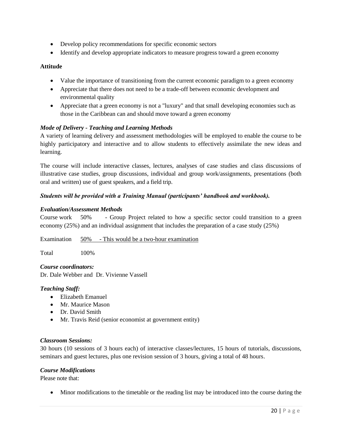- Develop policy recommendations for specific economic sectors
- Identify and develop appropriate indicators to measure progress toward a green economy

#### **Attitude**

- Value the importance of transitioning from the current economic paradigm to a green economy
- Appreciate that there does not need to be a trade-off between economic development and environmental quality
- Appreciate that a green economy is not a "luxury" and that small developing economies such as those in the Caribbean can and should move toward a green economy

#### *Mode of Delivery - Teaching and Learning Methods*

A variety of learning delivery and assessment methodologies will be employed to enable the course to be highly participatory and interactive and to allow students to effectively assimilate the new ideas and learning.

The course will include interactive classes, lectures, analyses of case studies and class discussions of illustrative case studies, group discussions, individual and group work/assignments, presentations (both oral and written) use of guest speakers, and a field trip.

#### *Students will be provided with a Training Manual (participants' handbook and workbook).*

#### *Evaluation/Assessment Methods*

Course work 50% - Group Project related to how a specific sector could transition to a green economy (25%) and an individual assignment that includes the preparation of a case study (25%)

Examination 50% - This would be a two-hour examination

Total 100%

*Course coordinators:* Dr. Dale Webber and Dr. Vivienne Vassell

#### *Teaching Staff:*

- Elizabeth Emanuel
- Mr. Maurice Mason
- Dr. David Smith
- Mr. Travis Reid (senior economist at government entity)

#### *Classroom Sessions:*

30 hours (10 sessions of 3 hours each) of interactive classes/lectures, 15 hours of tutorials, discussions, seminars and guest lectures, plus one revision session of 3 hours, giving a total of 48 hours.

#### *Course Modifications*

Please note that:

Minor modifications to the timetable or the reading list may be introduced into the course during the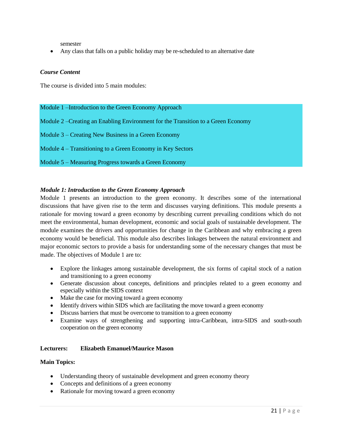semester

Any class that falls on a public holiday may be re-scheduled to an alternative date

#### *Course Content*

The course is divided into 5 main modules:

#### Module 1 –Introduction to the Green Economy Approach

- Module 2 –Creating an Enabling Environment for the Transition to a Green Economy
- Module 3 Creating New Business in a Green Economy
- Module 4 Transitioning to a Green Economy in Key Sectors
- Module 5 Measuring Progress towards a Green Economy

#### *Module 1: Introduction to the Green Economy Approach*

Module 1 presents an introduction to the green economy. It describes some of the international discussions that have given rise to the term and discusses varying definitions. This module presents a rationale for moving toward a green economy by describing current prevailing conditions which do not meet the environmental, human development, economic and social goals of sustainable development. The module examines the drivers and opportunities for change in the Caribbean and why embracing a green economy would be beneficial. This module also describes linkages between the natural environment and major economic sectors to provide a basis for understanding some of the necessary changes that must be made. The objectives of Module 1 are to:

- Explore the linkages among sustainable development, the six forms of capital stock of a nation and transitioning to a green economy
- Generate discussion about concepts, definitions and principles related to a green economy and especially within the SIDS context
- Make the case for moving toward a green economy
- Identify drivers within SIDS which are facilitating the move toward a green economy
- Discuss barriers that must be overcome to transition to a green economy
- Examine ways of strengthening and supporting intra-Caribbean, intra-SIDS and south-south cooperation on the green economy

#### **Lecturers: Elizabeth Emanuel/Maurice Mason**

#### **Main Topics:**

- Understanding theory of sustainable development and green economy theory
- Concepts and definitions of a green economy
- Rationale for moving toward a green economy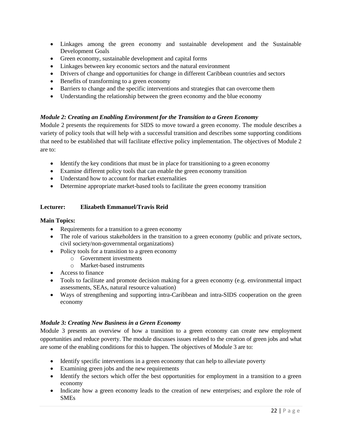- Linkages among the green economy and sustainable development and the Sustainable Development Goals
- Green economy, sustainable development and capital forms
- Linkages between key economic sectors and the natural environment
- Drivers of change and opportunities for change in different Caribbean countries and sectors
- Benefits of transforming to a green economy
- Barriers to change and the specific interventions and strategies that can overcome them
- Understanding the relationship between the green economy and the blue economy

#### *Module 2: Creating an Enabling Environment for the Transition to a Green Economy*

Module 2 presents the requirements for SIDS to move toward a green economy. The module describes a variety of policy tools that will help with a successful transition and describes some supporting conditions that need to be established that will facilitate effective policy implementation. The objectives of Module 2 are to:

- Identify the key conditions that must be in place for transitioning to a green economy
- Examine different policy tools that can enable the green economy transition
- Understand how to account for market externalities
- Determine appropriate market-based tools to facilitate the green economy transition

#### **Lecturer: Elizabeth Emmanuel/Travis Reid**

#### **Main Topics:**

- Requirements for a transition to a green economy
- The role of various stakeholders in the transition to a green economy (public and private sectors, civil society/non-governmental organizations)
- Policy tools for a transition to a green economy
	- o Government investments
	- o Market-based instruments
- Access to finance
- Tools to facilitate and promote decision making for a green economy (e.g. environmental impact assessments, SEAs, natural resource valuation)
- Ways of strengthening and supporting intra-Caribbean and intra-SIDS cooperation on the green economy

#### *Module 3: Creating New Business in a Green Economy*

Module 3 presents an overview of how a transition to a green economy can create new employment opportunities and reduce poverty. The module discusses issues related to the creation of green jobs and what are some of the enabling conditions for this to happen. The objectives of Module 3 are to:

- Identify specific interventions in a green economy that can help to alleviate poverty
- Examining green jobs and the new requirements
- Identify the sectors which offer the best opportunities for employment in a transition to a green economy
- Indicate how a green economy leads to the creation of new enterprises; and explore the role of SMEs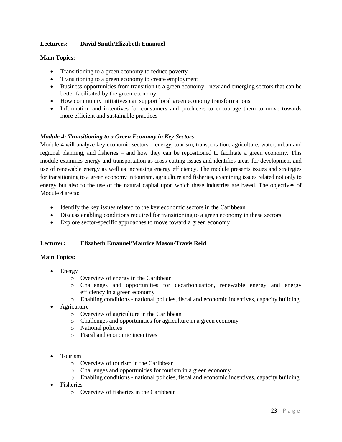#### **Lecturers: David Smith/Elizabeth Emanuel**

#### **Main Topics:**

- Transitioning to a green economy to reduce poverty
- Transitioning to a green economy to create employment
- Business opportunities from transition to a green economy new and emerging sectors that can be better facilitated by the green economy
- How community initiatives can support local green economy transformations
- Information and incentives for consumers and producers to encourage them to move towards more efficient and sustainable practices

#### *Module 4: Transitioning to a Green Economy in Key Sectors*

Module 4 will analyze key economic sectors – energy, tourism, transportation, agriculture, water, urban and regional planning, and fisheries – and how they can be repositioned to facilitate a green economy. This module examines energy and transportation as cross-cutting issues and identifies areas for development and use of renewable energy as well as increasing energy efficiency. The module presents issues and strategies for transitioning to a green economy in tourism, agriculture and fisheries, examining issues related not only to energy but also to the use of the natural capital upon which these industries are based. The objectives of Module 4 are to:

- Identify the key issues related to the key economic sectors in the Caribbean
- Discuss enabling conditions required for transitioning to a green economy in these sectors
- Explore sector-specific approaches to move toward a green economy

#### **Lecturer: Elizabeth Emanuel/Maurice Mason/Travis Reid**

#### **Main Topics:**

- Energy
	- o Overview of energy in the Caribbean
	- o Challenges and opportunities for decarbonisation, renewable energy and energy efficiency in a green economy
	- o Enabling conditions national policies, fiscal and economic incentives, capacity building
- Agriculture
	- o Overview of agriculture in the Caribbean
	- o Challenges and opportunities for agriculture in a green economy
	- o National policies
	- o Fiscal and economic incentives
- Tourism
	- o Overview of tourism in the Caribbean
	- o Challenges and opportunities for tourism in a green economy
	- o Enabling conditions national policies, fiscal and economic incentives, capacity building
- Fisheries
	- o Overview of fisheries in the Caribbean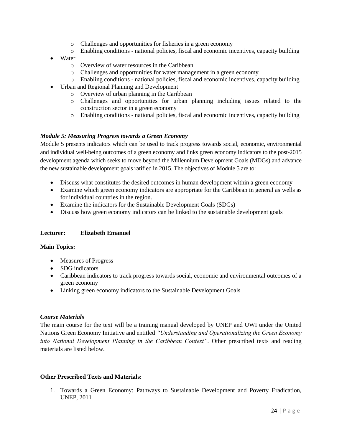- o Challenges and opportunities for fisheries in a green economy
- o Enabling conditions national policies, fiscal and economic incentives, capacity building
- Water
	- o Overview of water resources in the Caribbean
	- o Challenges and opportunities for water management in a green economy
	- o Enabling conditions national policies, fiscal and economic incentives, capacity building
- Urban and Regional Planning and Development
	- o Overview of urban planning in the Caribbean
	- o Challenges and opportunities for urban planning including issues related to the construction sector in a green economy
	- o Enabling conditions national policies, fiscal and economic incentives, capacity building

#### *Module 5: Measuring Progress towards a Green Economy*

Module 5 presents indicators which can be used to track progress towards social, economic, environmental and individual well-being outcomes of a green economy and links green economy indicators to the post-2015 development agenda which seeks to move beyond the Millennium Development Goals (MDGs) and advance the new sustainable development goals ratified in 2015. The objectives of Module 5 are to:

- Discuss what constitutes the desired outcomes in human development within a green economy
- Examine which green economy indicators are appropriate for the Caribbean in general as wells as for individual countries in the region.
- Examine the indicators for the Sustainable Development Goals (SDGs)
- Discuss how green economy indicators can be linked to the sustainable development goals

#### **Lecturer: Elizabeth Emanuel**

#### **Main Topics:**

- Measures of Progress
- SDG indicators
- Caribbean indicators to track progress towards social, economic and environmental outcomes of a green economy
- Linking green economy indicators to the Sustainable Development Goals

#### *Course Materials*

The main course for the text will be a training manual developed by UNEP and UWI under the United Nations Green Economy Initiative and entitled *"Understanding and Operationalizing the Green Economy into National Development Planning in the Caribbean Context"*. Other prescribed texts and reading materials are listed below.

#### **Other Prescribed Texts and Materials:**

1. Towards a Green Economy: Pathways to Sustainable Development and Poverty Eradication, UNEP, 2011